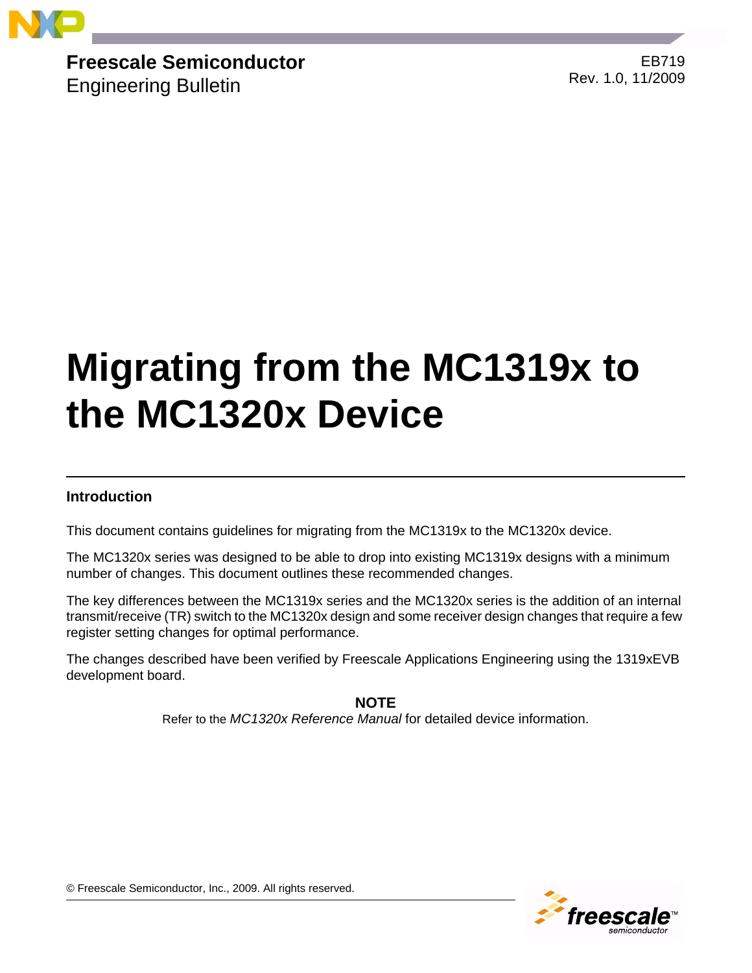

**Freescale Semiconductor**

Engineering Bulletin

EB719 Rev. 1.0, 11/2009

# **Migrating from the MC1319x to the MC1320x Device**

# **Introduction**

This document contains guidelines for migrating from the MC1319x to the MC1320x device.

The MC1320x series was designed to be able to drop into existing MC1319x designs with a minimum number of changes. This document outlines these recommended changes.

The key differences between the MC1319x series and the MC1320x series is the addition of an internal transmit/receive (TR) switch to the MC1320x design and some receiver design changes that require a few register setting changes for optimal performance.

The changes described have been verified by Freescale Applications Engineering using the 1319xEVB development board.

**NOTE**

Refer to the *MC1320x Reference Manual* for detailed device information.



© Freescale Semiconductor, Inc., 2009. All rights reserved.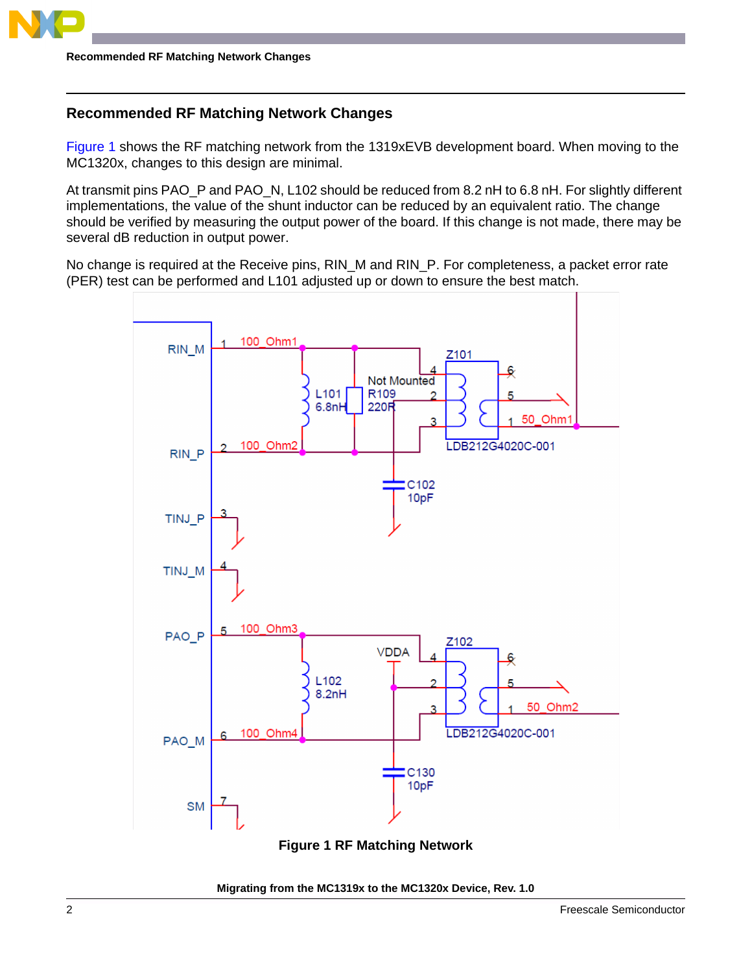

**Recommended RF Matching Network Changes**

## **Recommended RF Matching Network Changes**

[Figure](#page-1-0) 1 shows the RF matching network from the 1319xEVB development board. When moving to the MC1320x, changes to this design are minimal.

At transmit pins PAO\_P and PAO\_N, L102 should be reduced from 8.2 nH to 6.8 nH. For slightly different implementations, the value of the shunt inductor can be reduced by an equivalent ratio. The change should be verified by measuring the output power of the board. If this change is not made, there may be several dB reduction in output power.

No change is required at the Receive pins, RIN\_M and RIN\_P. For completeness, a packet error rate (PER) test can be performed and L101 adjusted up or down to ensure the best match.



**Figure 1 RF Matching Network**

<span id="page-1-0"></span>**Migrating from the MC1319x to the MC1320x Device, Rev. 1.0**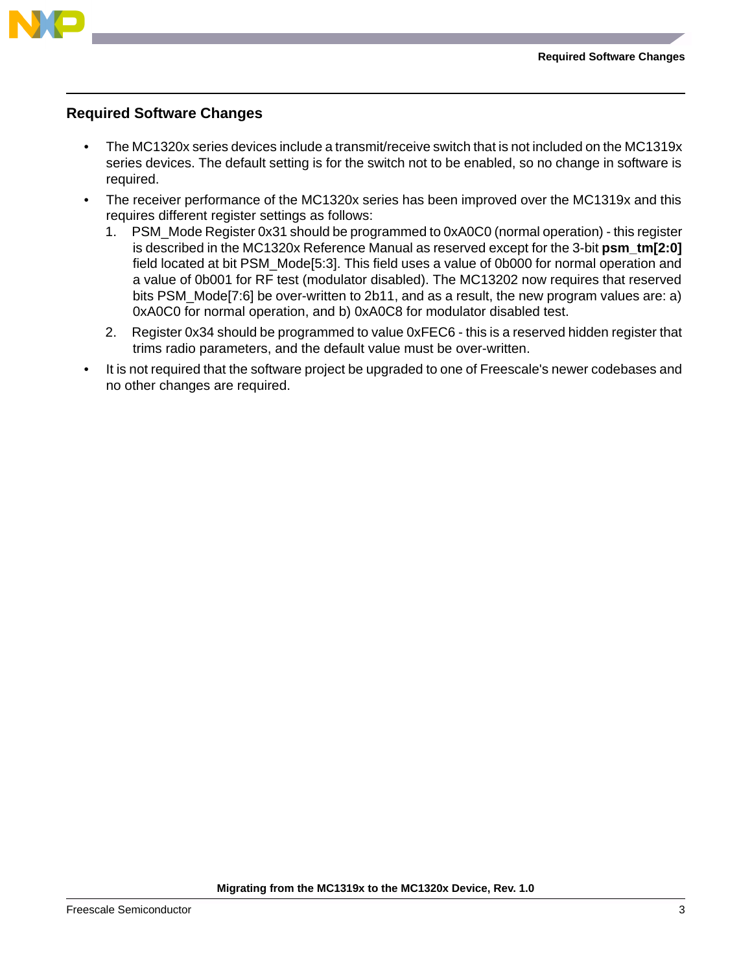

## **Required Software Changes**

- The MC1320x series devices include a transmit/receive switch that is not included on the MC1319x series devices. The default setting is for the switch not to be enabled, so no change in software is required.
- The receiver performance of the MC1320x series has been improved over the MC1319x and this requires different register settings as follows:
	- 1. PSM\_Mode Register 0x31 should be programmed to 0xA0C0 (normal operation) this register is described in the MC1320x Reference Manual as reserved except for the 3-bit **psm\_tm[2:0]** field located at bit PSM\_Mode[5:3]. This field uses a value of 0b000 for normal operation and a value of 0b001 for RF test (modulator disabled). The MC13202 now requires that reserved bits PSM\_Mode[7:6] be over-written to 2b11, and as a result, the new program values are: a) 0xA0C0 for normal operation, and b) 0xA0C8 for modulator disabled test.
	- 2. Register 0x34 should be programmed to value 0xFEC6 this is a reserved hidden register that trims radio parameters, and the default value must be over-written.
- It is not required that the software project be upgraded to one of Freescale's newer codebases and no other changes are required.